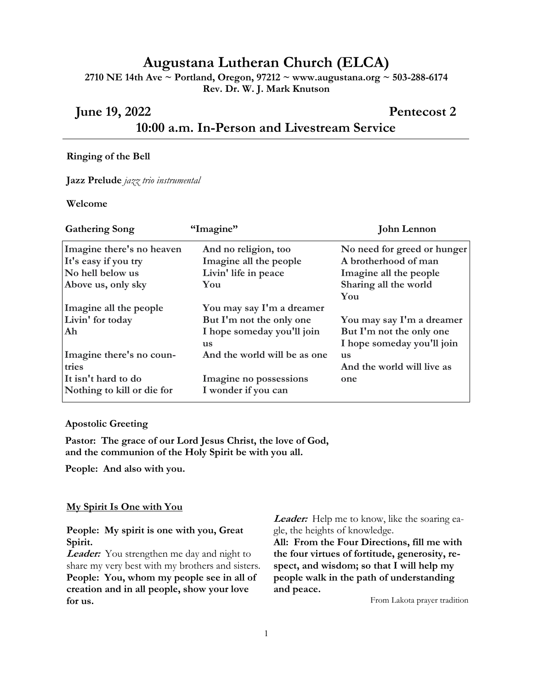# **Augustana Lutheran Church (ELCA)**

**2710 NE 14th Ave ~ Portland, Oregon, 97212 ~ www.augustana.org ~ 503-288-6174 Rev. Dr. W. J. Mark Knutson**

# **June 19, 2022 Pentecost 2 10:00 a.m. In-Person and Livestream Service**

#### **Ringing of the Bell**

**Jazz Prelude** *jazz trio instrumental*

#### **Welcome**

| <b>Gathering Song</b>      | "Imagine"                    | <b>John Lennon</b>          |
|----------------------------|------------------------------|-----------------------------|
| Imagine there's no heaven  | And no religion, too         | No need for greed or hunger |
| It's easy if you try       | Imagine all the people       | A brotherhood of man        |
| No hell below us           | Livin' life in peace         | Imagine all the people      |
| Above us, only sky         | You                          | Sharing all the world       |
|                            |                              | You                         |
| Imagine all the people     | You may say I'm a dreamer    |                             |
| Livin' for today           | But I'm not the only one     | You may say I'm a dreamer   |
| Ah                         | I hope someday you'll join   | But I'm not the only one    |
|                            | us                           | I hope someday you'll join  |
| Imagine there's no coun-   | And the world will be as one | <b>us</b>                   |
| tries                      |                              | And the world will live as  |
| It isn't hard to do        | Imagine no possessions       | one                         |
| Nothing to kill or die for | I wonder if you can          |                             |

#### **Apostolic Greeting**

**Pastor: The grace of our Lord Jesus Christ, the love of God, and the communion of the Holy Spirit be with you all.**

**People: And also with you.**

#### **My Spirit Is One with You**

## **People: My spirit is one with you, Great Spirit.**

**Leader:** You strengthen me day and night to share my very best with my brothers and sisters. **People: You, whom my people see in all of creation and in all people, show your love for us.**

**Leader:** Help me to know, like the soaring eagle, the heights of knowledge.

**All: From the Four Directions, fill me with the four virtues of fortitude, generosity, respect, and wisdom; so that I will help my people walk in the path of understanding and peace.**

From Lakota prayer tradition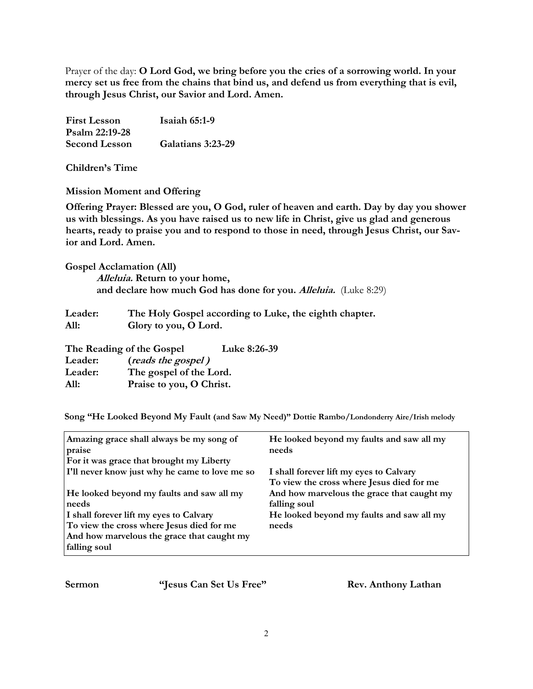Prayer of the day: **O Lord God, we bring before you the cries of a sorrowing world. In your mercy set us free from the chains that bind us, and defend us from everything that is evil, through Jesus Christ, our Savior and Lord. Amen.**

| <b>First Lesson</b>  | Isaiah $65:1-9$   |
|----------------------|-------------------|
| Psalm 22:19-28       |                   |
| <b>Second Lesson</b> | Galatians 3:23-29 |

**Children's Time**

**Mission Moment and Offering**

**Offering Prayer: Blessed are you, O God, ruler of heaven and earth. Day by day you shower us with blessings. As you have raised us to new life in Christ, give us glad and generous hearts, ready to praise you and to respond to those in need, through Jesus Christ, our Savior and Lord. Amen.**

**Gospel Acclamation (All) Alleluia. Return to your home, and declare how much God has done for you. Alleluia.** (Luke 8:29)

| Leader: | The Holy Gospel according to Luke, the eighth chapter. |
|---------|--------------------------------------------------------|
| All:    | Glory to you, O Lord.                                  |

| The Reading of the Gospel |                          | Luke 8:26-39 |
|---------------------------|--------------------------|--------------|
| Leader:                   | (reads the gospel)       |              |
| Leader:                   | The gospel of the Lord.  |              |
| All:                      | Praise to you, O Christ. |              |

**Song "He Looked Beyond My Fault (and Saw My Need)" Dottie Rambo/Londonderry Aire/Irish melody**

| Amazing grace shall always be my song of<br>praise | He looked beyond my faults and saw all my<br>needs |
|----------------------------------------------------|----------------------------------------------------|
| For it was grace that brought my Liberty           |                                                    |
| I'll never know just why he came to love me so     | I shall forever lift my eyes to Calvary            |
|                                                    | To view the cross where Jesus died for me          |
| He looked beyond my faults and saw all my          | And how marvelous the grace that caught my         |
| needs                                              | falling soul                                       |
| I shall forever lift my eyes to Calvary            | He looked beyond my faults and saw all my          |
| To view the cross where Jesus died for me          | needs                                              |
| And how marvelous the grace that caught my         |                                                    |
| falling soul                                       |                                                    |

**Sermon "Jesus Can Set Us Free" Rev. Anthony Lathan**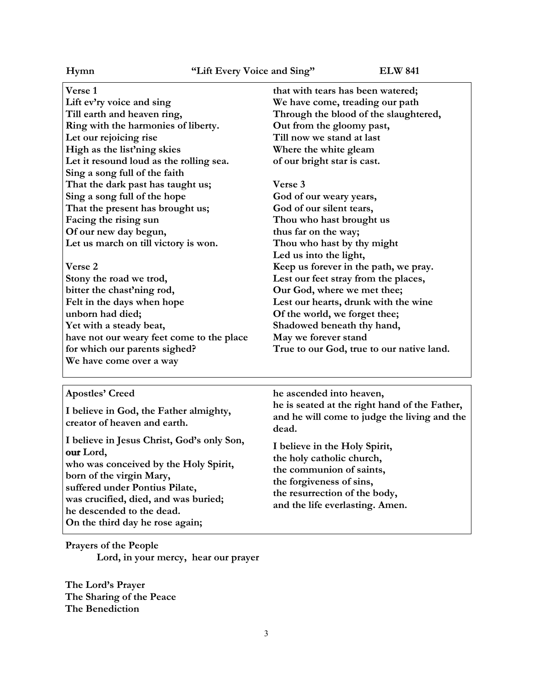**Verse 1 Lift ev'ry voice and sing Till earth and heaven ring, Ring with the harmonies of liberty. Let our rejoicing rise High as the list'ning skies Let it resound loud as the rolling sea. Sing a song full of the faith That the dark past has taught us; Sing a song full of the hope That the present has brought us; Facing the rising sun Of our new day begun, Let us march on till victory is won.**

**Verse 2**

**Stony the road we trod, bitter the chast'ning rod, Felt in the days when hope unborn had died; Yet with a steady beat, have not our weary feet come to the place for which our parents sighed? We have come over a way** 

**that with tears has been watered; We have come, treading our path Through the blood of the slaughtered, Out from the gloomy past, Till now we stand at last Where the white gleam of our bright star is cast.**

**Verse 3 God of our weary years, God of our silent tears, Thou who hast brought us thus far on the way; Thou who hast by thy might Led us into the light, Keep us forever in the path, we pray. Lest our feet stray from the places, Our God, where we met thee; Lest our hearts, drunk with the wine Of the world, we forget thee; Shadowed beneath thy hand, May we forever stand True to our God, true to our native land.**

### **Apostles' Creed**

**I believe in God, the Father almighty, creator of heaven and earth.**

**I believe in Jesus Christ, God's only Son, Lord, who was conceived by the Holy Spirit, born of the virgin Mary, suffered under Pontius Pilate, was crucified, died, and was buried; he descended to the dead. On the third day he rose again;**

**Prayers of the People Lord, in your mercy, hear our prayer**

**The Lord's Prayer The Sharing of the Peace The Benediction**

**he ascended into heaven, he is seated at the right hand of the Father, and he will come to judge the living and the dead.**

**I believe in the Holy Spirit, the holy catholic church, the communion of saints, the forgiveness of sins, the resurrection of the body, and the life everlasting. Amen.**